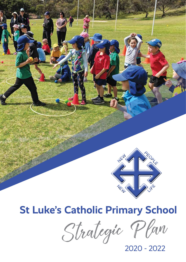

# **St Luke's Catholic Primary School**

Strategic Plan

2020 - 2022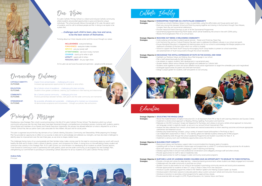

Our Vision

St Luke's Catholic Primary School is a vibrant and inclusive Catholic community where students are provided opportunities to grow and become unique individuals. The school proudly follows the example of St Luke, the patron saint of students, and his call to embrace people and life. In doing so we aspire to be a place that,

> INCLUSIVENESS - everyone belongs FORGIVENESS - everyone makes mistakes SERVICE - use your power well ATTENTIVENESS - see God in every moment COURAGE - stand up for what is right LOYALTY - speak well of others PERSONAL BEST - let your light shine

# … challenges each child to learn, play, love and serve, to be the best version of themselves.

To bring about our Vision requires action and this occurs through our values:

At St Luke's we are future focussed and optimistic - people and life renewed.

Overarching Outcomes

**CATHOLIC IDENTITY:** Inspire Christ-centred leaders ... challenging all to serve **OUTCOME:** Increased age-appropriate opportunities for students to

Increased age-appropriate opportunities for students to serve others.

**EDUCATION:** Be a Catholic school of excellence ... challenging all to learn and play **OUTCOME:** Students show greater confidence, creativity, joy & resilience in their learn Students show greater confidence, creativity, joy & resilience in their learning and relationships.

**COMMUNITY:** Be a Catholic pastoral community ... challenging all to love<br> **OUTCOME:** Positive partnerships between families. staff. parish and the Positive partnerships between families, staff, parish and the wider community are maintained.

**STEWARDSHIP:** Be accessible, affordable and sustainable ... challenging all to maintain our inclusiveness<br>**OUTCOME:** All demonstrate acceptance and inclusiveness – through our policies, fees and actions. All demonstrate acceptance and inclusiveness – through our policies, fees and actions.

• Promote our school's Rainbow Values in class, at assemblies, using the raffle tickets and House points each term. • Build very strong links between School and Parish by praying together and sharing in the Eucharist through Class Masses,

# Strategic Objective 1: **WORSHIPPING TOGETHER AS A FAITH-FILLED COMMUNITY**

Strategies: • Revisit the implementation of Explicit Instruction (E.I.) in all classrooms from PK to Year 6 with Learning Intentions and Success Criteria. • Implement a whole school approach to Reading, Writing, Spelling, Punctuation and Grammar.

- 
- Liturgies, feast day and sacramental celebrations.
- Provide interactive Parent Evenings as part of all the Sacramental Programmes.
- Review the Evangelisation Plan on an annual basis.

• Sacramental programme becoming Parish based, which will be fostered by the school in line with CEWA policy.

- 
- 
- 
- 



# Strategic Objective 2: **REACHING OUT BEING A WELCOMING COMMUNITY**

- Strategies: Restructure Literacy and Numeracy support roles to accommodate the changing needs of students.
	- Upskilling staff on how to implement creative apps and programmes to utilise ICT to enhance learning outcomes for all students.
	- Build staff capacity to ensure current pedagogy is used in teaching and learning.
	- Provide opportunities for staff to take on leadership roles.
	- Provide opportunities for staff to engage in wider community social justice programs.
- 
- Strategies: Invite outlying communities to attend special services Easter and Christmas, Feast Day.
	- Link Harmony Day and our Cultural Diversity Day each year to celebrate the different cultures in our school and parish. • Ensure Aboriginal Education is integrated into learning areas and for our school to acknowledge the Wadjuk people as the
	- traditional custodians of the land upon which our school is situated.
		- School to support the Parish Youth Group by encouraging Youth Group leaders to present at school assemblies, and advertisement of Youth Group events through the school newsletter.
	-
- Strategic Objective 3: **ENCOURAGE THE JOYFUL EXPRESSION OF FAITH IN THE SCHOOL AND HOME**
- Strategies: Highlight our Rainbow Values and Making Jesus Real language in our school.
	- Plan a staff retreat biannually for faith formation. • Use retreats to support students' faith development in sacramental years.
	- Student leaders attend various Masses that highlight and celebrate our Catholic faith.
	-
	- Students work together to assist and action different social justice organisations to target the vulnerable, poor and marginalised. • Investigate opportunities for parent and child faith formation.
	- Design a prayer garden for students, staff and parents to visit and pray.





Education

## Strategic Objective 1: **EDUCATING THE WHOLE CHILD**

• Elaborate on the WA Curriculum Scope and Sequence for Numeracy and Literacy to ensure a whole school approach to instruction

• Analyse the data collected from various school based and national assessments to inform teaching outcomes and ensure appropriate

• Develop play-based learning concepts, using a variety of research based philosophies in Pre-Kindy to Year 2.

- 
- 
- and language content is explicitly taught, as set out in our annual School Improvement Plan. intervention and extension occurs.
- 
- Use independent assessments in Years 3 6 to identify gifted and talented students entering the SHINE program.
- Develop leadership skills through the school Leadership Programme and Student Councillors for Years 4 6.
- Implement a sensory room and mindfulness opportunities across the school.

# Strategic Objective 2: **BUILDING STAFF CAPACITY**

- 
- Develop opportunities to ensure more professional conversations and collegiality amongst staff and other schools.

Strategies: • Provide a climate and culture for deep learning – interactive learning environments where students are deeply engaged and motivated.

- 
- 

# Strategic Objective 3: **NURTURE A LOVE OF LEARNING WHERE CHILDREN HAVE AN OPPORTUNITY TO DEVELOP TO THEIR POTENTIAL**

- 
- Collaborate with the wider community to promote our school.
- Student Council to plan events for our school to be involved in promoting community service and social justice awareness.
- Provide opportunities for students to learn ICT using 1:1 iPads in Years 4-6 in the classroom. • Introduce a public speaking programme, linked to the Telethon Speech and Hearing Outpost Speak Up Awards.
- 
- Introduce parent information sessions to educate parents about current curriculum (what) and instruction (how) practices. • Introduce a transition to secondary school programme for upper primary classes.
- Ensure essential skills are taught in LOTE, Physical Education, Art, Science, Music and Dance



Principal*'*s Message

Developing a new Strategic Plan is both crucial and exciting in the life of St Luke's Catholic Primary School. The directions which our school community will pursue over the next three years have been discerned through a comprehensive consultation process, involving staff, students, parents, School Board and members of our Parents and Friends Executive. Importantly, this process has allowed reflection on what is required for us to be a Catholic School that, like our patron Saint Luke, advocates for the children, the poor and for social justice.

This plan is organised around the four key domains of our Catholic Identity, Education, Community and Stewardship. While preparing this Strategic Plan has provided an opportunity to reflect on our journey to date and to acknowledge and celebrate our strengths, we have also been challenged to identify areas for improvement over the next three years, as we strive to shape a better future.

The challenges facing many of our young people and their families today make a strong case for the need to consciously equip our youth with sound, healthy life skills and to foster in them a sense of identity, concern, and compassion for others. A strong focus on the well-being of every student will continue to be a priority in this Strategic Plan. At St Luke's School, our commitment is to developing all our students as whole Christian persons. I look forward to continuing to work in partnership with staff, parents, parish and the wider community, as we progress this new Strategic Plan, strengthening our commitment to providing an outstanding Catholic education for all our students at St Luke's Catholic Primary School.

**Andrew Kelly** Principal



Catholic Identity